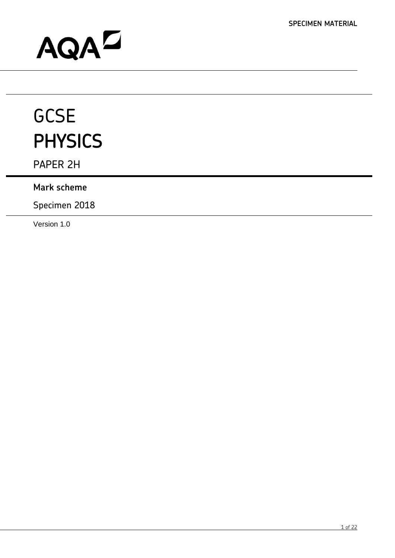# AQAD

# **GCSE** PHYSICS

PAPER 2H

# **Mark scheme**

Specimen 2018

Version 1.0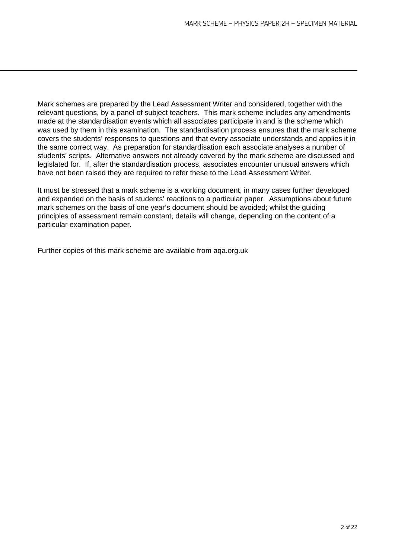Mark schemes are prepared by the Lead Assessment Writer and considered, together with the relevant questions, by a panel of subject teachers. This mark scheme includes any amendments made at the standardisation events which all associates participate in and is the scheme which was used by them in this examination. The standardisation process ensures that the mark scheme covers the students' responses to questions and that every associate understands and applies it in the same correct way. As preparation for standardisation each associate analyses a number of students' scripts. Alternative answers not already covered by the mark scheme are discussed and legislated for. If, after the standardisation process, associates encounter unusual answers which have not been raised they are required to refer these to the Lead Assessment Writer.

It must be stressed that a mark scheme is a working document, in many cases further developed and expanded on the basis of students' reactions to a particular paper. Assumptions about future mark schemes on the basis of one year's document should be avoided; whilst the guiding principles of assessment remain constant, details will change, depending on the content of a particular examination paper.

Further copies of this mark scheme are available from aga.org.uk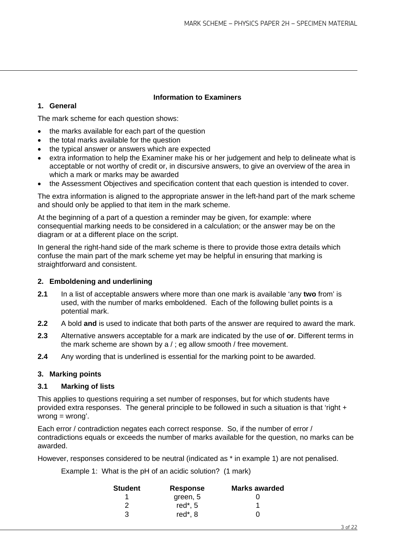### **1. General**

#### **Information to Examiners**

The mark scheme for each question shows:

- the marks available for each part of the question
- the total marks available for the question
- the typical answer or answers which are expected
- extra information to help the Examiner make his or her judgement and help to delineate what is acceptable or not worthy of credit or, in discursive answers, to give an overview of the area in which a mark or marks may be awarded
- the Assessment Objectives and specification content that each question is intended to cover.

The extra information is aligned to the appropriate answer in the left-hand part of the mark scheme and should only be applied to that item in the mark scheme.

At the beginning of a part of a question a reminder may be given, for example: where consequential marking needs to be considered in a calculation; or the answer may be on the diagram or at a different place on the script.

In general the right-hand side of the mark scheme is there to provide those extra details which confuse the main part of the mark scheme yet may be helpful in ensuring that marking is straightforward and consistent.

#### **2. Emboldening and underlining**

- **2.1** In a list of acceptable answers where more than one mark is available 'any **two** from' is used, with the number of marks emboldened. Each of the following bullet points is a potential mark.
- **2.2** A bold **and** is used to indicate that both parts of the answer are required to award the mark.
- **2.3** Alternative answers acceptable for a mark are indicated by the use of **or**. Different terms in the mark scheme are shown by a / ; eg allow smooth / free movement.
- **2.4** Any wording that is underlined is essential for the marking point to be awarded.

#### **3. Marking points**

#### **3.1 Marking of lists**

This applies to questions requiring a set number of responses, but for which students have provided extra responses. The general principle to be followed in such a situation is that 'right +  $wronq = wronq'.$ 

Each error / contradiction negates each correct response. So, if the number of error / contradictions equals or exceeds the number of marks available for the question, no marks can be awarded.

However, responses considered to be neutral (indicated as \* in example 1) are not penalised.

Example 1: What is the pH of an acidic solution? (1 mark)

| <b>Student</b> | <b>Response</b> | <b>Marks awarded</b> |  |
|----------------|-----------------|----------------------|--|
|                | green, 5        |                      |  |
|                | red $*$ , 5     |                      |  |
| 3              | red*, 8         |                      |  |
|                |                 |                      |  |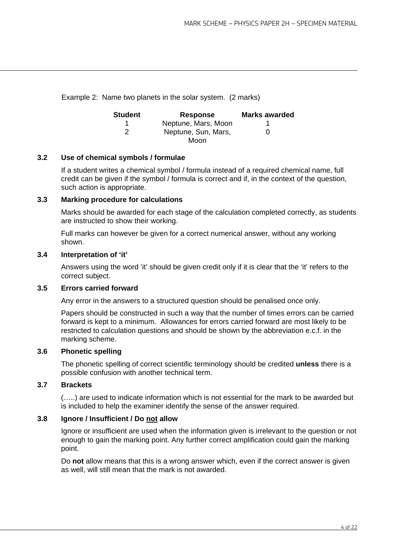Example 2: Name two planets in the solar system. (2 marks)

| <b>Student</b> | <b>Response</b>     | <b>Marks awarded</b> |
|----------------|---------------------|----------------------|
|                | Neptune, Mars, Moon |                      |
|                | Neptune, Sun, Mars, | $\mathbf{0}$         |
|                | Moon                |                      |

#### **3.2 Use of chemical symbols / formulae**

If a student writes a chemical symbol / formula instead of a required chemical name, full credit can be given if the symbol / formula is correct and if, in the context of the question, such action is appropriate.

#### **3.3 Marking procedure for calculations**

Marks should be awarded for each stage of the calculation completed correctly, as students are instructed to show their working.

Full marks can however be given for a correct numerical answer, without any working shown.

#### **3.4 Interpretation of 'it'**

Answers using the word 'it' should be given credit only if it is clear that the 'it' refers to the correct subject.

#### **3.5 Errors carried forward**

Any error in the answers to a structured question should be penalised once only.

Papers should be constructed in such a way that the number of times errors can be carried forward is kept to a minimum. Allowances for errors carried forward are most likely to be restricted to calculation questions and should be shown by the abbreviation e.c.f. in the marking scheme.

#### **3.6 Phonetic spelling**

The phonetic spelling of correct scientific terminology should be credited **unless** there is a possible confusion with another technical term.

#### **3.7 Brackets**

(…..) are used to indicate information which is not essential for the mark to be awarded but is included to help the examiner identify the sense of the answer required.

#### **3.8 Ignore / Insufficient / Do not allow**

Ignore or insufficient are used when the information given is irrelevant to the question or not enough to gain the marking point. Any further correct amplification could gain the marking point.

Do **not** allow means that this is a wrong answer which, even if the correct answer is given as well, will still mean that the mark is not awarded.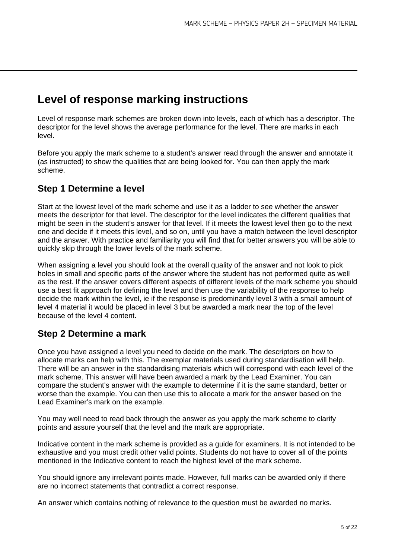# **Level of response marking instructions**

Level of response mark schemes are broken down into levels, each of which has a descriptor. The descriptor for the level shows the average performance for the level. There are marks in each level.

Before you apply the mark scheme to a student's answer read through the answer and annotate it (as instructed) to show the qualities that are being looked for. You can then apply the mark scheme.

# **Step 1 Determine a level**

Start at the lowest level of the mark scheme and use it as a ladder to see whether the answer meets the descriptor for that level. The descriptor for the level indicates the different qualities that might be seen in the student's answer for that level. If it meets the lowest level then go to the next one and decide if it meets this level, and so on, until you have a match between the level descriptor and the answer. With practice and familiarity you will find that for better answers you will be able to quickly skip through the lower levels of the mark scheme.

When assigning a level you should look at the overall quality of the answer and not look to pick holes in small and specific parts of the answer where the student has not performed quite as well as the rest. If the answer covers different aspects of different levels of the mark scheme you should use a best fit approach for defining the level and then use the variability of the response to help decide the mark within the level, ie if the response is predominantly level 3 with a small amount of level 4 material it would be placed in level 3 but be awarded a mark near the top of the level because of the level 4 content.

# **Step 2 Determine a mark**

Once you have assigned a level you need to decide on the mark. The descriptors on how to allocate marks can help with this. The exemplar materials used during standardisation will help. There will be an answer in the standardising materials which will correspond with each level of the mark scheme. This answer will have been awarded a mark by the Lead Examiner. You can compare the student's answer with the example to determine if it is the same standard, better or worse than the example. You can then use this to allocate a mark for the answer based on the Lead Examiner's mark on the example.

You may well need to read back through the answer as you apply the mark scheme to clarify points and assure yourself that the level and the mark are appropriate.

Indicative content in the mark scheme is provided as a guide for examiners. It is not intended to be exhaustive and you must credit other valid points. Students do not have to cover all of the points mentioned in the Indicative content to reach the highest level of the mark scheme.

You should ignore any irrelevant points made. However, full marks can be awarded only if there are no incorrect statements that contradict a correct response.

An answer which contains nothing of relevance to the question must be awarded no marks.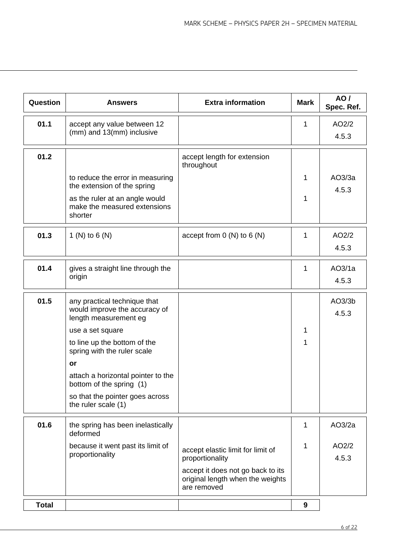| Question     | <b>Answers</b>                                                                         | <b>Extra information</b>                                                             | <b>Mark</b> | AO/<br>Spec. Ref. |
|--------------|----------------------------------------------------------------------------------------|--------------------------------------------------------------------------------------|-------------|-------------------|
| 01.1         | accept any value between 12                                                            |                                                                                      | 1           | AO2/2             |
|              | (mm) and 13(mm) inclusive                                                              |                                                                                      |             | 4.5.3             |
| 01.2         |                                                                                        | accept length for extension<br>throughout                                            |             |                   |
|              | to reduce the error in measuring<br>the extension of the spring                        |                                                                                      | 1           | AO3/3a<br>4.5.3   |
|              | as the ruler at an angle would<br>make the measured extensions<br>shorter              |                                                                                      | 1           |                   |
| 01.3         | 1 (N) to 6 (N)                                                                         | accept from $0(N)$ to $6(N)$                                                         | 1           | AO2/2<br>4.5.3    |
| 01.4         | gives a straight line through the<br>origin                                            |                                                                                      | 1           | AO3/1a<br>4.5.3   |
| 01.5         | any practical technique that<br>would improve the accuracy of<br>length measurement eg |                                                                                      |             | AO3/3b<br>4.5.3   |
|              | use a set square                                                                       |                                                                                      | 1           |                   |
|              | to line up the bottom of the<br>spring with the ruler scale                            |                                                                                      | 1           |                   |
|              | or                                                                                     |                                                                                      |             |                   |
|              | attach a horizontal pointer to the<br>bottom of the spring (1)                         |                                                                                      |             |                   |
|              | so that the pointer goes across<br>the ruler scale (1)                                 |                                                                                      |             |                   |
| 01.6         | the spring has been inelastically<br>deformed                                          |                                                                                      | 1           | AO3/2a            |
|              | because it went past its limit of<br>proportionality                                   | accept elastic limit for limit of<br>proportionality                                 | 1           | AO2/2<br>4.5.3    |
|              |                                                                                        | accept it does not go back to its<br>original length when the weights<br>are removed |             |                   |
| <b>Total</b> |                                                                                        |                                                                                      | 9           |                   |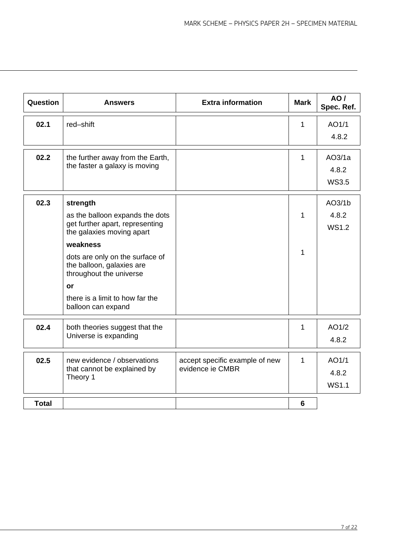| Question     | <b>Answers</b>                                                                          | <b>Extra information</b>       | <b>Mark</b>  | AO/<br>Spec. Ref. |
|--------------|-----------------------------------------------------------------------------------------|--------------------------------|--------------|-------------------|
| 02.1         | red-shift                                                                               |                                | 1            | AO1/1             |
|              |                                                                                         |                                |              | 4.8.2             |
| 02.2         | the further away from the Earth,                                                        |                                | 1            | AO3/1a            |
|              | the faster a galaxy is moving                                                           |                                |              | 4.8.2             |
|              |                                                                                         |                                |              | <b>WS3.5</b>      |
| 02.3         | strength                                                                                |                                |              | AO3/1b            |
|              | as the balloon expands the dots                                                         |                                | 1            | 4.8.2             |
|              | get further apart, representing<br>the galaxies moving apart                            |                                |              | <b>WS1.2</b>      |
|              | weakness                                                                                |                                |              |                   |
|              | dots are only on the surface of<br>the balloon, galaxies are<br>throughout the universe |                                | 1            |                   |
|              | or                                                                                      |                                |              |                   |
|              | there is a limit to how far the<br>balloon can expand                                   |                                |              |                   |
| 02.4         | both theories suggest that the                                                          |                                | 1            | AO1/2             |
|              | Universe is expanding                                                                   |                                |              | 4.8.2             |
| 02.5         | new evidence / observations                                                             | accept specific example of new | $\mathbf{1}$ | AO1/1             |
|              | that cannot be explained by<br>Theory 1                                                 | evidence ie CMBR               |              | 4.8.2             |
|              |                                                                                         |                                |              | <b>WS1.1</b>      |
| <b>Total</b> |                                                                                         |                                | 6            |                   |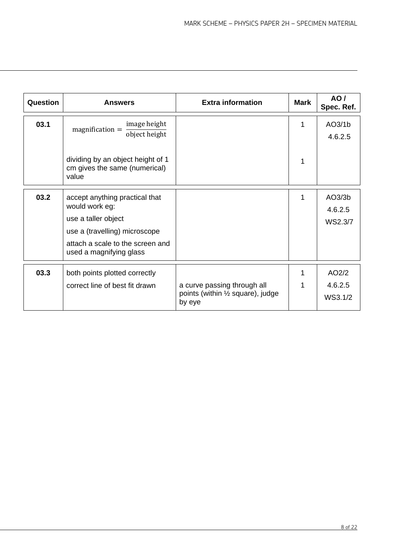| Question | <b>Answers</b>                                                                                                                                                          | <b>Extra information</b>                                                   | <b>Mark</b> | AO/<br>Spec. Ref.            |
|----------|-------------------------------------------------------------------------------------------------------------------------------------------------------------------------|----------------------------------------------------------------------------|-------------|------------------------------|
| 03.1     | image height<br>$magnification =$<br>object height                                                                                                                      |                                                                            | 1           | AO3/1b<br>4.6.2.5            |
|          | dividing by an object height of 1<br>cm gives the same (numerical)<br>value                                                                                             |                                                                            |             |                              |
| 03.2     | accept anything practical that<br>would work eg:<br>use a taller object<br>use a (travelling) microscope<br>attach a scale to the screen and<br>used a magnifying glass |                                                                            |             | AO3/3b<br>4.6.2.5<br>WS2.3/7 |
| 03.3     | both points plotted correctly<br>correct line of best fit drawn                                                                                                         | a curve passing through all<br>points (within 1/2 square), judge<br>by eye |             | AO2/2<br>4.6.2.5<br>WS3.1/2  |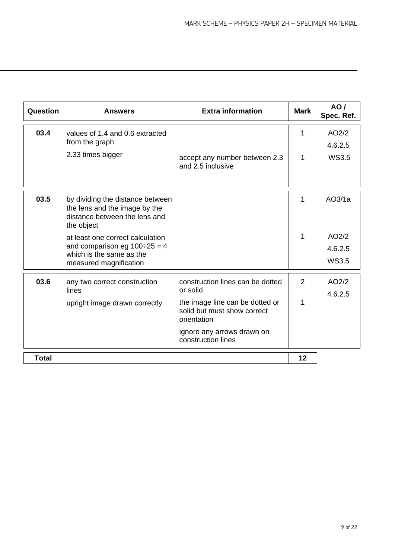| Question     | <b>Answers</b>                                                                                                                | <b>Extra information</b>                                                      | <b>Mark</b> | AO/<br>Spec. Ref.                |
|--------------|-------------------------------------------------------------------------------------------------------------------------------|-------------------------------------------------------------------------------|-------------|----------------------------------|
| 03.4         | values of 1.4 and 0.6 extracted<br>from the graph                                                                             |                                                                               | 1           | AO2/2<br>4.6.2.5                 |
|              | 2.33 times bigger                                                                                                             | accept any number between 2.3<br>and 2.5 inclusive                            | 1           | <b>WS3.5</b>                     |
| 03.5         | by dividing the distance between<br>the lens and the image by the<br>distance between the lens and<br>the object              |                                                                               | 1           | AO3/1a                           |
|              | at least one correct calculation<br>and comparison eg $100 \div 25 = 4$<br>which is the same as the<br>measured magnification |                                                                               | 1           | AO2/2<br>4.6.2.5<br><b>WS3.5</b> |
| 03.6         | any two correct construction<br>lines                                                                                         | construction lines can be dotted<br>or solid                                  | 2           | AO2/2<br>4.6.2.5                 |
|              | upright image drawn correctly                                                                                                 | the image line can be dotted or<br>solid but must show correct<br>orientation | 1           |                                  |
|              |                                                                                                                               | ignore any arrows drawn on<br>construction lines                              |             |                                  |
| <b>Total</b> |                                                                                                                               |                                                                               | 12          |                                  |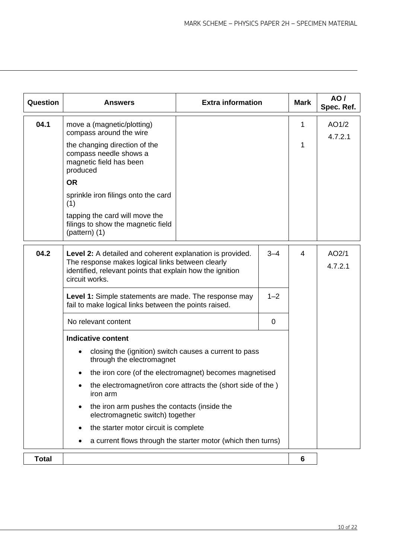| Question     | <b>Answers</b>                                                                                                                                                                                          | <b>Extra information</b> |   | <b>Mark</b>     | AO/<br>Spec. Ref. |
|--------------|---------------------------------------------------------------------------------------------------------------------------------------------------------------------------------------------------------|--------------------------|---|-----------------|-------------------|
| 04.1         | move a (magnetic/plotting)<br>compass around the wire                                                                                                                                                   |                          |   | 1               | AO1/2<br>4.7.2.1  |
|              | the changing direction of the<br>compass needle shows a<br>magnetic field has been<br>produced                                                                                                          |                          |   | 1               |                   |
|              | <b>OR</b>                                                                                                                                                                                               |                          |   |                 |                   |
|              | sprinkle iron filings onto the card<br>(1)                                                                                                                                                              |                          |   |                 |                   |
|              | tapping the card will move the<br>filings to show the magnetic field<br>$(pathern)$ (1)                                                                                                                 |                          |   |                 |                   |
| 04.2         | $3 - 4$<br>Level 2: A detailed and coherent explanation is provided.<br>The response makes logical links between clearly<br>identified, relevant points that explain how the ignition<br>circuit works. |                          |   |                 | AO2/1<br>4.7.2.1  |
|              | Level 1: Simple statements are made. The response may<br>$1 - 2$<br>fail to make logical links between the points raised.                                                                               |                          |   |                 |                   |
|              | No relevant content                                                                                                                                                                                     |                          | 0 |                 |                   |
|              | <b>Indicative content</b>                                                                                                                                                                               |                          |   |                 |                   |
|              | closing the (ignition) switch causes a current to pass<br>through the electromagnet                                                                                                                     |                          |   |                 |                   |
|              | the iron core (of the electromagnet) becomes magnetised                                                                                                                                                 |                          |   |                 |                   |
|              | the electromagnet/iron core attracts the (short side of the)<br>iron arm                                                                                                                                |                          |   |                 |                   |
|              | the iron arm pushes the contacts (inside the<br>$\bullet$<br>electromagnetic switch) together                                                                                                           |                          |   |                 |                   |
|              | the starter motor circuit is complete                                                                                                                                                                   |                          |   |                 |                   |
|              | a current flows through the starter motor (which then turns)                                                                                                                                            |                          |   |                 |                   |
| <b>Total</b> |                                                                                                                                                                                                         |                          |   | $6\phantom{1}6$ |                   |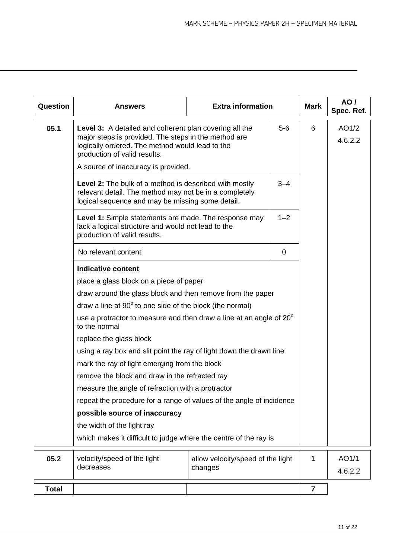| Question     | <b>Answers</b>                                                                                                                                                                                                                                    | <b>Extra information</b>          |         | <b>Mark</b>      | AO /<br>Spec. Ref. |
|--------------|---------------------------------------------------------------------------------------------------------------------------------------------------------------------------------------------------------------------------------------------------|-----------------------------------|---------|------------------|--------------------|
| 05.1         | Level 3: A detailed and coherent plan covering all the<br>$5-6$<br>major steps is provided. The steps in the method are<br>logically ordered. The method would lead to the<br>production of valid results.<br>A source of inaccuracy is provided. |                                   | 6       | AO1/2<br>4.6.2.2 |                    |
|              | <b>Level 2:</b> The bulk of a method is described with mostly<br>relevant detail. The method may not be in a completely<br>logical sequence and may be missing some detail.                                                                       |                                   | $3 - 4$ |                  |                    |
|              | Level 1: Simple statements are made. The response may<br>lack a logical structure and would not lead to the<br>production of valid results.                                                                                                       |                                   | $1 - 2$ |                  |                    |
|              | No relevant content                                                                                                                                                                                                                               |                                   | 0       |                  |                    |
|              | <b>Indicative content</b>                                                                                                                                                                                                                         |                                   |         |                  |                    |
|              | place a glass block on a piece of paper                                                                                                                                                                                                           |                                   |         |                  |                    |
|              | draw around the glass block and then remove from the paper                                                                                                                                                                                        |                                   |         |                  |                    |
|              | draw a line at $90^\circ$ to one side of the block (the normal)                                                                                                                                                                                   |                                   |         |                  |                    |
|              | use a protractor to measure and then draw a line at an angle of $20^{\circ}$<br>to the normal                                                                                                                                                     |                                   |         |                  |                    |
|              | replace the glass block                                                                                                                                                                                                                           |                                   |         |                  |                    |
|              | using a ray box and slit point the ray of light down the drawn line                                                                                                                                                                               |                                   |         |                  |                    |
|              | mark the ray of light emerging from the block                                                                                                                                                                                                     |                                   |         |                  |                    |
|              | remove the block and draw in the refracted ray                                                                                                                                                                                                    |                                   |         |                  |                    |
|              | measure the angle of refraction with a protractor                                                                                                                                                                                                 |                                   |         |                  |                    |
|              | repeat the procedure for a range of values of the angle of incidence                                                                                                                                                                              |                                   |         |                  |                    |
|              | possible source of inaccuracy                                                                                                                                                                                                                     |                                   |         |                  |                    |
|              | the width of the light ray                                                                                                                                                                                                                        |                                   |         |                  |                    |
|              | which makes it difficult to judge where the centre of the ray is                                                                                                                                                                                  |                                   |         |                  |                    |
| 05.2         | velocity/speed of the light                                                                                                                                                                                                                       | allow velocity/speed of the light |         | 1                | AO1/1              |
|              | decreases                                                                                                                                                                                                                                         | changes                           |         |                  | 4.6.2.2            |
| <b>Total</b> |                                                                                                                                                                                                                                                   |                                   |         | $\overline{7}$   |                    |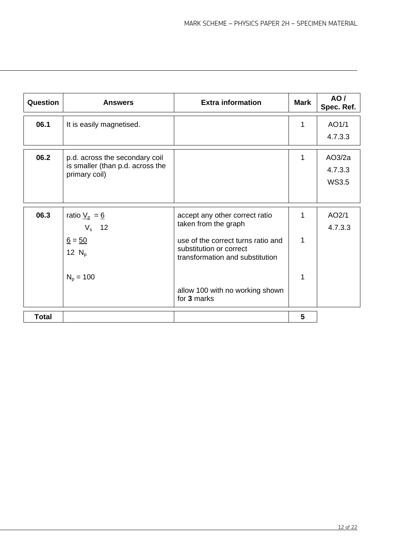| Question     | <b>Answers</b>                                                                             | <b>Extra information</b>                                                                                                                                                                                     | <b>Mark</b> | AO/<br>Spec. Ref.                 |
|--------------|--------------------------------------------------------------------------------------------|--------------------------------------------------------------------------------------------------------------------------------------------------------------------------------------------------------------|-------------|-----------------------------------|
| 06.1         | It is easily magnetised.                                                                   |                                                                                                                                                                                                              | 1           | AO1/1<br>4.7.3.3                  |
| 06.2         | p.d. across the secondary coil<br>is smaller (than p.d. across the<br>primary coil)        |                                                                                                                                                                                                              | 1           | AO3/2a<br>4.7.3.3<br><b>WS3.5</b> |
| 06.3         | ratio $\underline{V}_p = \underline{6}$<br>$V_s$ 12<br>$6 = 50$<br>12 $N_p$<br>$N_p = 100$ | accept any other correct ratio<br>taken from the graph<br>use of the correct turns ratio and<br>substitution or correct<br>transformation and substitution<br>allow 100 with no working shown<br>for 3 marks | 1<br>1<br>1 | AO2/1<br>4.7.3.3                  |
| <b>Total</b> |                                                                                            |                                                                                                                                                                                                              | 5           |                                   |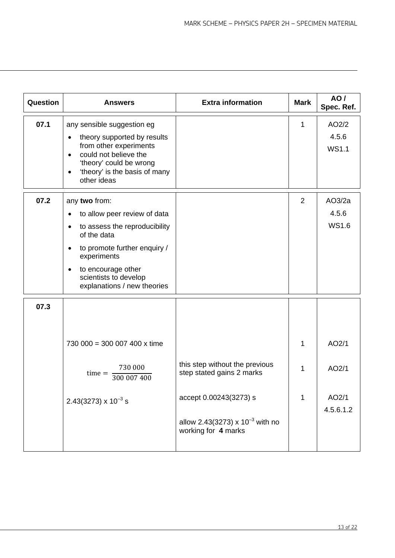| Question | <b>Answers</b>                                                                                                                                                                                                                                                                 | <b>Extra information</b>                                                                                                                             | <b>Mark</b>    | AO/<br>Spec. Ref.                    |
|----------|--------------------------------------------------------------------------------------------------------------------------------------------------------------------------------------------------------------------------------------------------------------------------------|------------------------------------------------------------------------------------------------------------------------------------------------------|----------------|--------------------------------------|
| 07.1     | any sensible suggestion eg<br>theory supported by results<br>$\bullet$<br>from other experiments<br>could not believe the<br>$\bullet$<br>'theory' could be wrong<br>'theory' is the basis of many<br>$\bullet$<br>other ideas                                                 |                                                                                                                                                      | 1              | AO2/2<br>4.5.6<br><b>WS1.1</b>       |
| 07.2     | any two from:<br>to allow peer review of data<br>$\bullet$<br>to assess the reproducibility<br>$\bullet$<br>of the data<br>to promote further enquiry /<br>$\bullet$<br>experiments<br>to encourage other<br>$\bullet$<br>scientists to develop<br>explanations / new theories |                                                                                                                                                      | $\overline{2}$ | AO3/2a<br>4.5.6<br><b>WS1.6</b>      |
| 07.3     | 730 000 = 300 007 400 x time<br>730 000<br>$time =$<br>300 007 400<br>$2.43(3273) \times 10^{-3}$ s                                                                                                                                                                            | this step without the previous<br>step stated gains 2 marks<br>accept 0.00243(3273) s<br>allow 2.43(3273) x $10^{-3}$ with no<br>working for 4 marks | 1<br>1<br>1    | AO2/1<br>AO2/1<br>AO2/1<br>4.5.6.1.2 |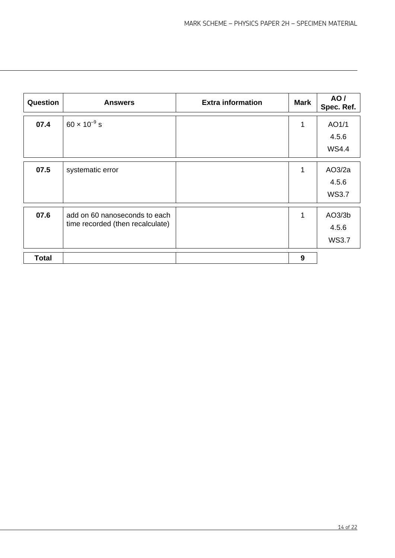| Question     | <b>Answers</b>                                                    | <b>Extra information</b> | <b>Mark</b> | AO/<br>Spec. Ref.               |
|--------------|-------------------------------------------------------------------|--------------------------|-------------|---------------------------------|
| 07.4         | $60 \times 10^{-9}$ s                                             |                          | 1           | AO1/1<br>4.5.6<br><b>WS4.4</b>  |
| 07.5         | systematic error                                                  |                          | 1           | AO3/2a<br>4.5.6<br><b>WS3.7</b> |
| 07.6         | add on 60 nanoseconds to each<br>time recorded (then recalculate) |                          | 1           | AO3/3b<br>4.5.6<br><b>WS3.7</b> |
| <b>Total</b> |                                                                   |                          | 9           |                                 |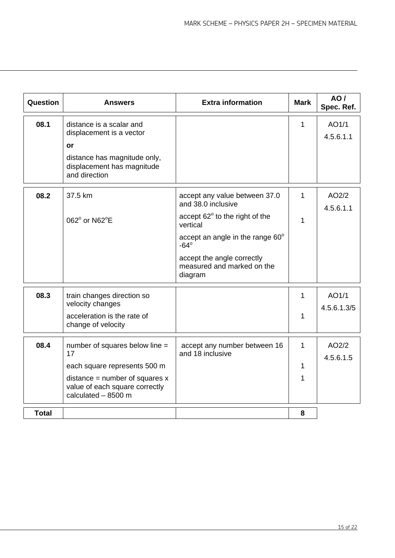| Question     | <b>Answers</b>                                                                            | <b>Extra information</b>                                            | <b>Mark</b> | AO/<br>Spec. Ref.  |
|--------------|-------------------------------------------------------------------------------------------|---------------------------------------------------------------------|-------------|--------------------|
| 08.1         | distance is a scalar and<br>displacement is a vector<br>or                                |                                                                     | 1           | AO1/1<br>4.5.6.1.1 |
|              | distance has magnitude only,<br>displacement has magnitude<br>and direction               |                                                                     |             |                    |
| 08.2         | 37.5 km                                                                                   | accept any value between 37.0<br>and 38.0 inclusive                 | 1           | AO2/2<br>4.5.6.1.1 |
|              | 062° or N62°E                                                                             | accept 62° to the right of the<br>vertical                          | 1           |                    |
|              |                                                                                           | accept an angle in the range $60^{\circ}$<br>$-64^\circ$            |             |                    |
|              |                                                                                           | accept the angle correctly<br>measured and marked on the<br>diagram |             |                    |
| 08.3         | train changes direction so<br>velocity changes                                            |                                                                     | 1           | AO1/1              |
|              | acceleration is the rate of<br>change of velocity                                         |                                                                     | 1           | 4.5.6.1.3/5        |
| 08.4         | number of squares below line =<br>17                                                      | accept any number between 16<br>and 18 inclusive                    | 1           | AO2/2              |
|              | each square represents 500 m                                                              |                                                                     | 1           | 4.5.6.1.5          |
|              | distance = number of squares $x$<br>value of each square correctly<br>calculated - 8500 m |                                                                     | 1           |                    |
| <b>Total</b> |                                                                                           |                                                                     | 8           |                    |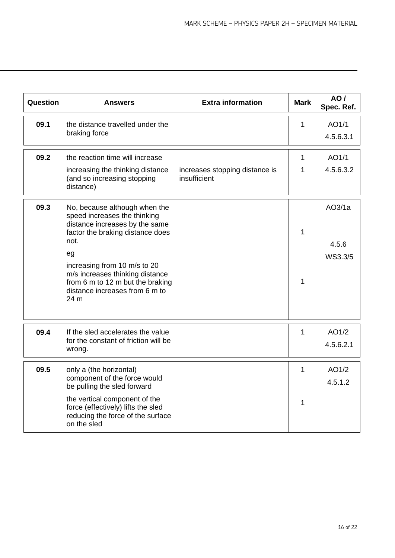| Question | <b>Answers</b>                                                                                                                                                                                                                                                                                     | <b>Extra information</b>                       | <b>Mark</b>       | AO/<br>Spec. Ref.          |
|----------|----------------------------------------------------------------------------------------------------------------------------------------------------------------------------------------------------------------------------------------------------------------------------------------------------|------------------------------------------------|-------------------|----------------------------|
| 09.1     | the distance travelled under the<br>braking force                                                                                                                                                                                                                                                  |                                                | 1                 | AO1/1<br>4.5.6.3.1         |
| 09.2     | the reaction time will increase<br>increasing the thinking distance<br>(and so increasing stopping<br>distance)                                                                                                                                                                                    | increases stopping distance is<br>insufficient | $\mathbf{1}$<br>1 | AO1/1<br>4.5.6.3.2         |
| 09.3     | No, because although when the<br>speed increases the thinking<br>distance increases by the same<br>factor the braking distance does<br>not.<br>eg<br>increasing from 10 m/s to 20<br>m/s increases thinking distance<br>from 6 m to 12 m but the braking<br>distance increases from 6 m to<br>24 m |                                                | 1<br>1            | AO3/1a<br>4.5.6<br>WS3.3/5 |
| 09.4     | If the sled accelerates the value<br>for the constant of friction will be<br>wrong.                                                                                                                                                                                                                |                                                | 1                 | AO1/2<br>4.5.6.2.1         |
| 09.5     | only a (the horizontal)<br>component of the force would<br>be pulling the sled forward<br>the vertical component of the<br>force (effectively) lifts the sled<br>reducing the force of the surface<br>on the sled                                                                                  |                                                | 1<br>1            | AO1/2<br>4.5.1.2           |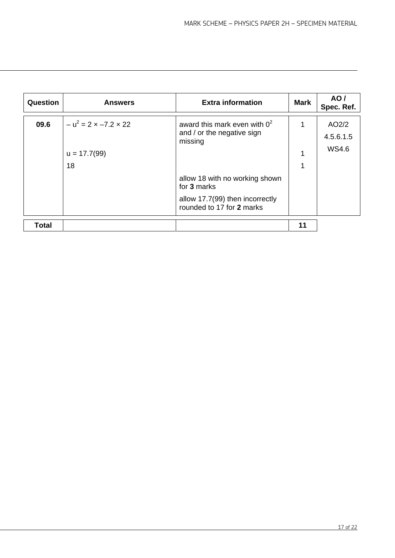| Question     | <b>Answers</b>                                            | <b>Extra information</b>                                                                                                                                                                  | Mark | AO/<br>Spec. Ref.           |
|--------------|-----------------------------------------------------------|-------------------------------------------------------------------------------------------------------------------------------------------------------------------------------------------|------|-----------------------------|
| 09.6         | $- u^2 = 2 \times -7.2 \times 22$<br>$u = 17.7(99)$<br>18 | award this mark even with $0^2$<br>and / or the negative sign<br>missing<br>allow 18 with no working shown<br>for 3 marks<br>allow 17.7(99) then incorrectly<br>rounded to 17 for 2 marks | 1    | AO2/2<br>4.5.6.1.5<br>WS4.6 |
| <b>Total</b> |                                                           |                                                                                                                                                                                           | 11   |                             |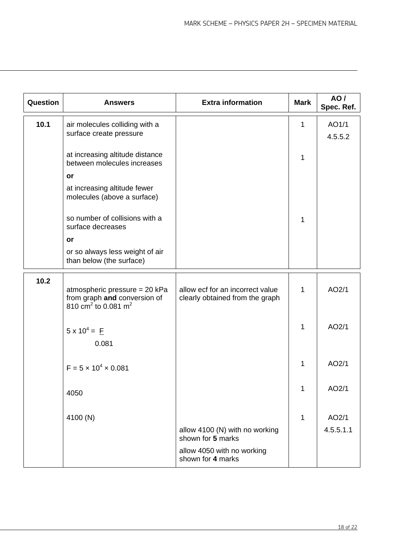| Question | <b>Answers</b>                                                                                               | <b>Extra information</b>                                            | <b>Mark</b> | AO/<br>Spec. Ref. |
|----------|--------------------------------------------------------------------------------------------------------------|---------------------------------------------------------------------|-------------|-------------------|
| 10.1     | air molecules colliding with a<br>surface create pressure                                                    |                                                                     | 1           | AO1/1<br>4.5.5.2  |
|          | at increasing altitude distance<br>between molecules increases                                               |                                                                     | 1           |                   |
|          | or<br>at increasing altitude fewer<br>molecules (above a surface)                                            |                                                                     |             |                   |
|          | so number of collisions with a<br>surface decreases                                                          |                                                                     | 1           |                   |
|          | or                                                                                                           |                                                                     |             |                   |
|          | or so always less weight of air<br>than below (the surface)                                                  |                                                                     |             |                   |
| 10.2     | atmospheric pressure = 20 kPa<br>from graph and conversion of<br>810 cm <sup>2</sup> to 0.081 m <sup>2</sup> | allow ecf for an incorrect value<br>clearly obtained from the graph | 1           | AO2/1             |
|          | $5 \times 10^4 = \underline{F}$<br>0.081                                                                     |                                                                     | 1           | AO2/1             |
|          | $F = 5 \times 10^4 \times 0.081$                                                                             |                                                                     | 1           | AO2/1             |
|          | 4050                                                                                                         |                                                                     |             | AO2/1             |
|          | 4100 (N)                                                                                                     |                                                                     | 1           | AO2/1             |
|          |                                                                                                              | allow 4100 (N) with no working<br>shown for 5 marks                 |             | 4.5.5.1.1         |
|          |                                                                                                              | allow 4050 with no working<br>shown for 4 marks                     |             |                   |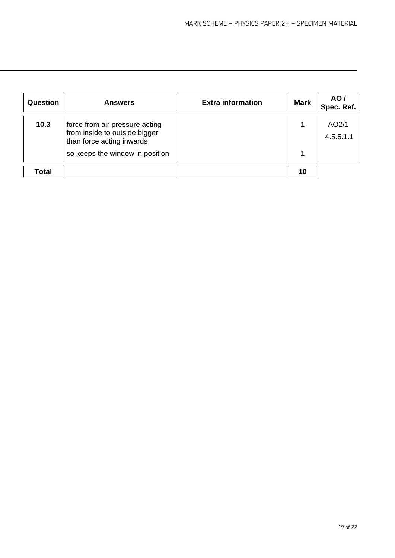| Question | <b>Answers</b>                                                                                                                  | <b>Extra information</b> | <b>Mark</b> | AO /<br>Spec. Ref. |
|----------|---------------------------------------------------------------------------------------------------------------------------------|--------------------------|-------------|--------------------|
| 10.3     | force from air pressure acting<br>from inside to outside bigger<br>than force acting inwards<br>so keeps the window in position |                          |             | AO2/1<br>4.5.5.1.1 |
| Total    |                                                                                                                                 |                          | 10          |                    |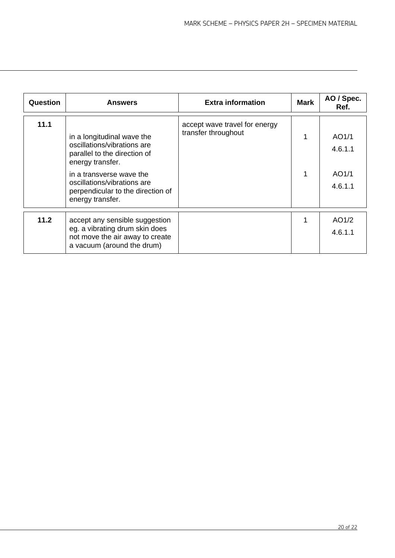| Question | <b>Answers</b>                                                                                                                                                                                                                    | <b>Extra information</b>                             | <b>Mark</b> | AO / Spec.<br>Ref.                   |
|----------|-----------------------------------------------------------------------------------------------------------------------------------------------------------------------------------------------------------------------------------|------------------------------------------------------|-------------|--------------------------------------|
| 11.1     | in a longitudinal wave the<br>oscillations/vibrations are<br>parallel to the direction of<br>energy transfer.<br>in a transverse wave the<br>oscillations/vibrations are<br>perpendicular to the direction of<br>energy transfer. | accept wave travel for energy<br>transfer throughout |             | AO1/1<br>4.6.1.1<br>AO1/1<br>4.6.1.1 |
| 11.2     | accept any sensible suggestion<br>eg. a vibrating drum skin does<br>not move the air away to create<br>a vacuum (around the drum)                                                                                                 |                                                      |             | AO1/2<br>4.6.1.1                     |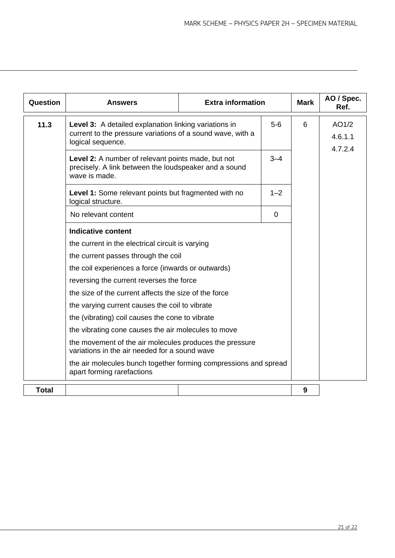| Question     | <b>Answers</b>                                                                                                                                                                                                                                                                               | <b>Extra information</b> |         | <b>Mark</b> | AO / Spec.<br>Ref.          |
|--------------|----------------------------------------------------------------------------------------------------------------------------------------------------------------------------------------------------------------------------------------------------------------------------------------------|--------------------------|---------|-------------|-----------------------------|
| 11.3         | Level 3: A detailed explanation linking variations in<br>$5-6$<br>current to the pressure variations of a sound wave, with a<br>logical sequence.<br>Level 2: A number of relevant points made, but not<br>$3 - 4$<br>precisely. A link between the loudspeaker and a sound<br>wave is made. |                          |         | 6           | AO1/2<br>4.6.1.1<br>4.7.2.4 |
|              |                                                                                                                                                                                                                                                                                              |                          |         |             |                             |
|              | Level 1: Some relevant points but fragmented with no<br>logical structure.                                                                                                                                                                                                                   |                          | $1 - 2$ |             |                             |
|              | No relevant content                                                                                                                                                                                                                                                                          |                          | 0       |             |                             |
|              | <b>Indicative content</b>                                                                                                                                                                                                                                                                    |                          |         |             |                             |
|              | the current in the electrical circuit is varying<br>the current passes through the coil<br>the coil experiences a force (inwards or outwards)                                                                                                                                                |                          |         |             |                             |
|              |                                                                                                                                                                                                                                                                                              |                          |         |             |                             |
|              |                                                                                                                                                                                                                                                                                              |                          |         |             |                             |
|              | reversing the current reverses the force<br>the size of the current affects the size of the force                                                                                                                                                                                            |                          |         |             |                             |
|              |                                                                                                                                                                                                                                                                                              |                          |         |             |                             |
|              | the varying current causes the coil to vibrate                                                                                                                                                                                                                                               |                          |         |             |                             |
|              | the (vibrating) coil causes the cone to vibrate                                                                                                                                                                                                                                              |                          |         |             |                             |
|              | the vibrating cone causes the air molecules to move                                                                                                                                                                                                                                          |                          |         |             |                             |
|              | the movement of the air molecules produces the pressure<br>variations in the air needed for a sound wave                                                                                                                                                                                     |                          |         |             |                             |
|              | the air molecules bunch together forming compressions and spread<br>apart forming rarefactions                                                                                                                                                                                               |                          |         |             |                             |
| <b>Total</b> |                                                                                                                                                                                                                                                                                              |                          |         | 9           |                             |